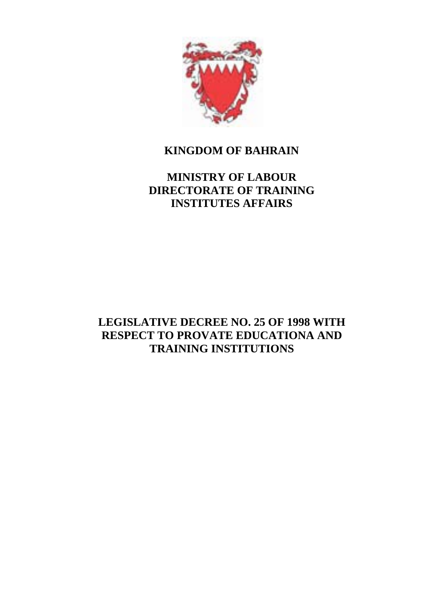

## **KINGDOM OF BAHRAIN**

# **MINISTRY OF LABOUR DIRECTORATE OF TRAINING INSTITUTES AFFAIRS**

# **LEGISLATIVE DECREE NO. 25 OF 1998 WITH RESPECT TO PROVATE EDUCATIONA AND TRAINING INSTITUTIONS**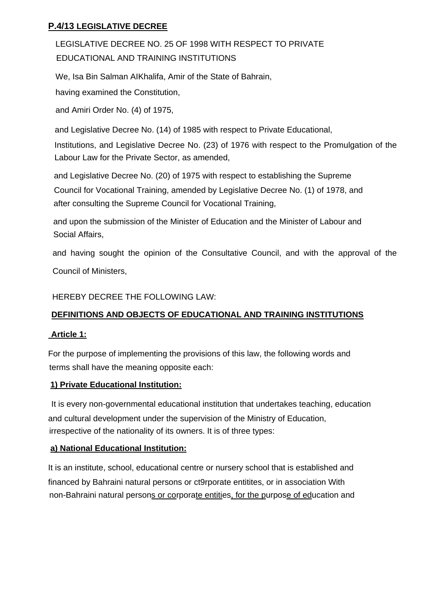### **P.4/13 LEGISLATIVE DECREE**

LEGISLATIVE DECREE NO. 25 OF 1998 WITH RESPECT TO PRIVATE EDUCATIONAL AND TRAINING INSTITUTIONS

We, Isa Bin Salman AIKhalifa, Amir of the State of Bahrain,

having examined the Constitution,

and Amiri Order No. (4) of 1975,

and Legislative Decree No. (14) of 1985 with respect to Private Educational, Institutions, and Legislative Decree No. (23) of 1976 with respect to the Promulgation of the Labour Law for the Private Sector, as amended,

and Legislative Decree No. (20) of 1975 with respect to establishing the Supreme Council for Vocational Training, amended by Legislative Decree No. (1) of 1978, and after consulting the Supreme Council for Vocational Training,

and upon the submission of the Minister of Education and the Minister of Labour and Social Affairs,

and having sought the opinion of the Consultative Council, and with the approval of the Council of Ministers,

HEREBY DECREE THE FOLLOWING LAW:

#### **DEFINITIONS AND OBJECTS OF EDUCATIONAL AND TRAINING INSTITUTIONS**

#### **Article 1:**

For the purpose of implementing the provisions of this law, the following words and terms shall have the meaning opposite each:

#### **1) Private Educational Institution:**

It is every non-governmental educational institution that undertakes teaching, education and cultural development under the supervision of the Ministry of Education, irrespective of the nationality of its owners. It is of three types:

### **a) National Educational Institution:**

It is an institute, school, educational centre or nursery school that is established and financed by Bahraini natural persons or ct9rporate entitites, or in association With non-Bahraini natural persons or corporate entities, for the purpose of education and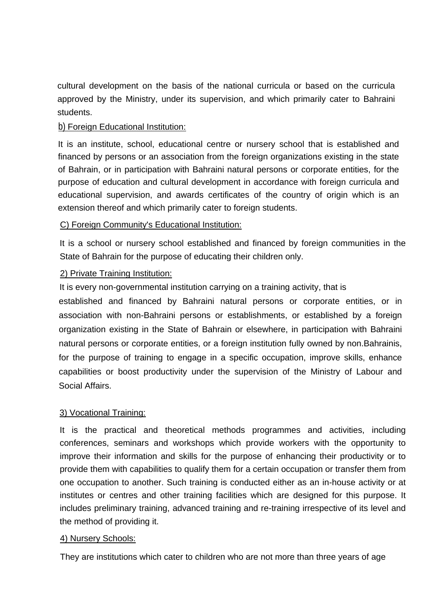cultural development on the basis of the national curricula or based on the curricula approved by the Ministry, under its supervision, and which primarily cater to Bahraini students.

#### b) Foreign Educational Institution:

It is an institute, school, educational centre or nursery school that is established and financed by persons or an association from the foreign organizations existing in the state of Bahrain, or in participation with Bahraini natural persons or corporate entities, for the purpose of education and cultural development in accordance with foreign curricula and educational supervision, and awards certificates of the country of origin which is an extension thereof and which primarily cater to foreign students.

#### C) Foreign Community's Educational Institution:

It is a school or nursery school established and financed by foreign communities in the State of Bahrain for the purpose of educating their children only.

#### 2) Private Training Institution:

It is every non-governmental institution carrying on a training activity, that is

established and financed by Bahraini natural persons or corporate entities, or in association with non-Bahraini persons or establishments, or established by a foreign organization existing in the State of Bahrain or elsewhere, in participation with Bahraini natural persons or corporate entities, or a foreign institution fully owned by non.Bahrainis, for the purpose of training to engage in a specific occupation, improve skills, enhance capabilities or boost productivity under the supervision of the Ministry of Labour and Social Affairs.

#### 3) Vocational Training:

It is the practical and theoretical methods programmes and activities, including conferences, seminars and workshops which provide workers with the opportunity to improve their information and skills for the purpose of enhancing their productivity or to provide them with capabilities to qualify them for a certain occupation or transfer them from one occupation to another. Such training is conducted either as an in-house activity or at institutes or centres and other training facilities which are designed for this purpose. It includes preliminary training, advanced training and re-training irrespective of its level and the method of providing it.

#### 4) Nursery Schools:

They are institutions which cater to children who are not more than three years of age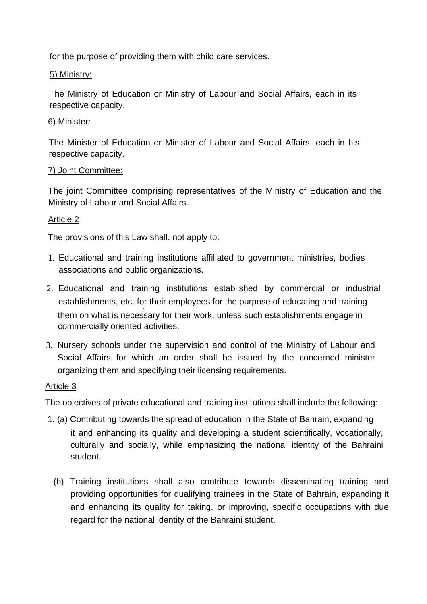for the purpose of providing them with child care services.

#### 5) Ministry:

The Ministry of Education or Ministry of Labour and Social Affairs, each in its respective capacity.

#### 6) Minister:

The Minister of Education or Minister of Labour and Social Affairs, each in his respective capacity.

#### 7) Joint Committee:

The joint Committee comprising representatives of the Ministry of Education and the Ministry of Labour and Social Affairs.

#### Article 2

The provisions of this Law shall. not apply to:

- 1. Educational and training institutions affiliated to government ministries, bodies associations and public organizations.
- 2. Educational and training institutions established by commercial or industrial establishments, etc. for their employees for the purpose of educating and training  $\sqrt{2}$ them on what is necessary for their work, unless such establishments engage in commercially oriented activities.
- 3. Nursery schools under the supervision and control of the Ministry of Labour and Social Affairs for which an order shall be issued by the concerned minister organizing them and specifying their licensing requirements.

#### Article 3

The objectives of private educational and training institutions shall include the following:

- 1. (a) Contributing towards the spread of education in the State of Bahrain, expanding it and enhancing its quality and developing a student scientifically, vocationally, culturally and socially, while emphasizing the national identity of the Bahraini student.
	- (b) Training institutions shall also contribute towards disseminating training and providing opportunities for qualifying trainees in the State of Bahrain, expanding it and enhancing its quality for taking, or improving, specific occupations with due regard for the national identity of the Bahraini student.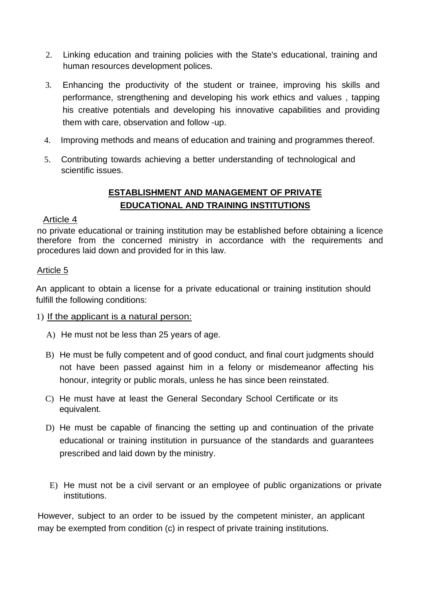- 2. Linking education and training policies with the State's educational, training and human resources development polices.
- 3. Enhancing the productivity of the student or trainee, improving his skills and performance, strengthening and developing his work ethics and values , tapping his creative potentials and developing his innovative capabilities and providing them with care, observation and follow -up.
- 4. Improving methods and means of education and training and programmes thereof.
- 5. Contributing towards achieving a better understanding of technological and scientific issues.

### **ESTABLISHMENT AND MANAGEMENT OF PRIVATE EDUCATIONAL AND TRAINING INSTITUTIONS**

#### Article 4

no private educational or training institution may be established before obtaining a licence therefore from the concerned ministry in accordance with the requirements and procedures laid down and provided for in this law.

#### Article 5

An applicant to obtain a license for a private educational or training institution should fulfill the following conditions:

#### 1) If the applicant is a natural person:

- A) He must not be less than 25 years of age.
- B) He must be fully competent and of good conduct, and final court judgments should not have been passed against him in a felony or misdemeanor affecting his honour, integrity or public morals, unless he has since been reinstated.
- C) He must have at least the General Secondary School Certificate or its equivalent.
- D) He must be capable of financing the setting up and continuation of the private educational or training institution in pursuance of the standards and guarantees prescribed and laid down by the ministry.
- E) He must not be a civil servant or an employee of public organizations or private institutions.

However, subject to an order to be issued by the competent minister, an applicant may be exempted from condition (c) in respect of private training institutions.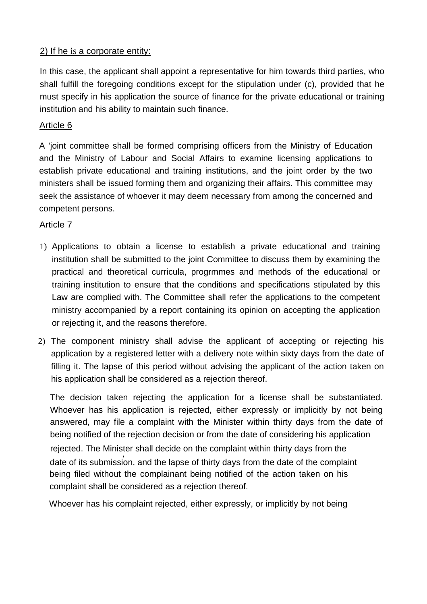#### 2) If he is a corporate entity:

In this case, the applicant shall appoint a representative for him towards third parties, who shall fulfill the foregoing conditions except for the stipulation under (c), provided that he must specify in his application the source of finance for the private educational or training institution and his ability to maintain such finance.

### Article 6

A 'joint committee shall be formed comprising officers from the Ministry of Education and the Ministry of Labour and Social Affairs to examine licensing applications to establish private educational and training institutions, and the joint order by the two ministers shall be issued forming them and organizing their affairs. This committee may seek the assistance of whoever it may deem necessary from among the concerned and competent persons.

### Article 7

- 1) Applications to obtain a license to establish a private educational and training institution shall be submitted to the joint Committee to discuss them by examining the practical and theoretical curricula, progrmmes and methods of the educational or training institution to ensure that the conditions and specifications stipulated by this Law are complied with. The Committee shall refer the applications to the competent ministry accompanied by a report containing its opinion on accepting the application or rejecting it, and the reasons therefore.
- 2) The component ministry shall advise the applicant of accepting or rejecting his application by a registered letter with a delivery note within sixty days from the date of filling it. The lapse of this period without advising the applicant of the action taken on his application shall be considered as a rejection thereof.

The decision taken rejecting the application for a license shall be substantiated. Whoever has his application is rejected, either expressly or implicitly by not being answered, may file a complaint with the Minister within thirty days from the date of being notified of the rejection decision or from the date of considering his application rejected. The Minister shall decide on the complaint within thirty days from the .<br>date of its submission, and the lapse of thirty days from the date of the complaint being filed without the complainant being notified of the action taken on his complaint shall be considered as a rejection thereof.

Whoever has his complaint rejected, either expressly, or implicitly by not being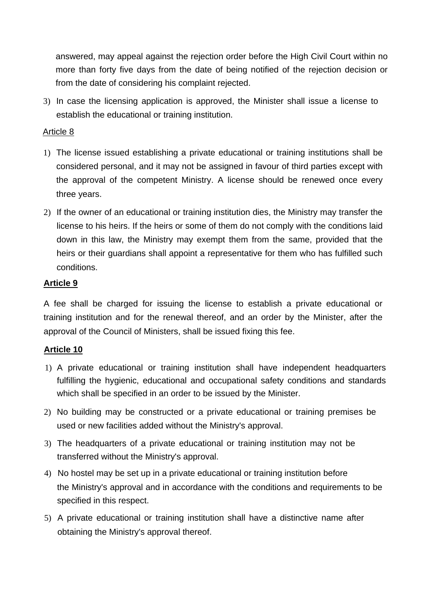answered, may appeal against the rejection order before the High Civil Court within no more than forty five days from the date of being notified of the rejection decision or from the date of considering his complaint rejected.

3) In case the licensing application is approved, the Minister shall issue a license to establish the educational or training institution.

#### Article 8

- 1) The license issued establishing a private educational or training institutions shall be considered personal, and it may not be assigned in favour of third parties except with the approval of the competent Ministry. A license should be renewed once every three years.
- 2) If the owner of an educational or training institution dies, the Ministry may transfer the license to his heirs. If the heirs or some of them do not comply with the conditions laid down in this law, the Ministry may exempt them from the same, provided that the heirs or their guardians shall appoint a representative for them who has fulfilled such conditions.

### **Article 9**

A fee shall be charged for issuing the license to establish a private educational or training institution and for the renewal thereof, and an order by the Minister, after the approval of the Council of Ministers, shall be issued fixing this fee.

### **Article 10**

- 1) A private educational or training institution shall have independent headquarters fulfilling the hygienic, educational and occupational safety conditions and standards which shall be specified in an order to be issued by the Minister.
- 2) No building may be constructed or a private educational or training premises be used or new facilities added without the Ministry's approval.
- 3) The headquarters of a private educational or training institution may not be transferred without the Ministry's approval.
- 4) No hostel may be set up in a private educational or training institution before the Ministry's approval and in accordance with the conditions and requirements to be specified in this respect.
- 5) A private educational or training institution shall have a distinctive name after obtaining the Ministry's approval thereof.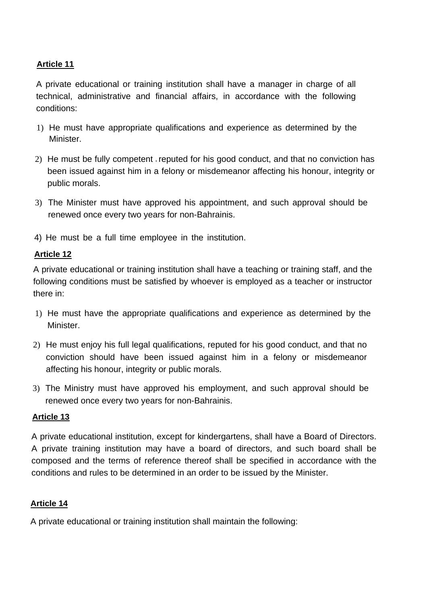A private educational or training institution shall have a manager in charge of all technical, administrative and financial affairs, in accordance with the following conditions:

- 1) He must have appropriate qualifications and experience as determined by the Minister.
- 2) He must be fully competent reputed for his good conduct, and that no conviction has been issued against him in a felony or misdemeanor affecting his honour, integrity or public morals.
- 3) The Minister must have approved his appointment, and such approval should be renewed once every two years for non-Bahrainis.
- 4) He must be a full time employee in the institution.

### **Article 12**

A private educational or training institution shall have a teaching or training staff, and the following conditions must be satisfied by whoever is employed as a teacher or instructor there in:

- 1) He must have the appropriate qualifications and experience as determined by the Minister.
- 2) He must enjoy his full legal qualifications, reputed for his good conduct, and that no conviction should have been issued against him in a felony or misdemeanor affecting his honour, integrity or public morals.
- 3) The Ministry must have approved his employment, and such approval should be renewed once every two years for non-Bahrainis.

#### **Article 13**

A private educational institution, except for kindergartens, shall have a Board of Directors. A private training institution may have a board of directors, and such board shall be composed and the terms of reference thereof shall be specified in accordance with the conditions and rules to be determined in an order to be issued by the Minister.

#### **Article 14**

A private educational or training institution shall maintain the following: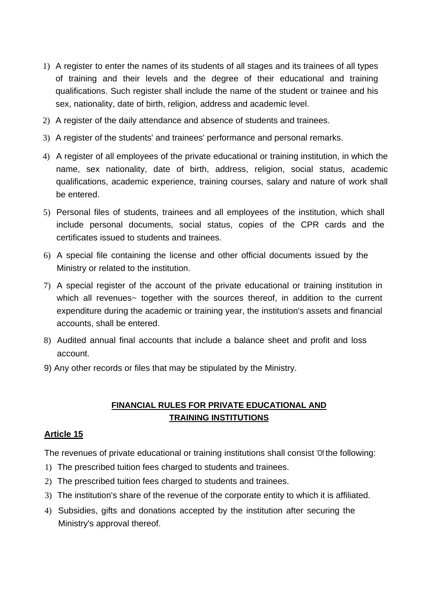- 1) A register to enter the names of its students of all stages and its trainees of all types of training and their levels and the degree of their educational and training qualifications. Such register shall include the name of the student or trainee and his sex, nationality, date of birth, religion, address and academic level.
- 2) A register of the daily attendance and absence of students and trainees.
- 3) A register of the students' and trainees' performance and personal remarks.
- 4) A register of all employees of the private educational or training institution, in which the name, sex nationality, date of birth, address, religion, social status, academic qualifications, academic experience, training courses, salary and nature of work shall be entered.
- 5) Personal files of students, trainees and all employees of the institution, which shall include personal documents, social status, copies of the CPR cards and the certificates issued to students and trainees.
- 6) A special file containing the license and other official documents issued by the Ministry or related to the institution.
- 7) A special register of the account of the private educational or training institution in which all revenues~ together with the sources thereof, in addition to the current expenditure during the academic or training year, the institution's assets and financial accounts, shall be entered.
- 8) Audited annual final accounts that include a balance sheet and profit and loss account.
- 9) Any other records or files that may be stipulated by the Ministry.

### **FINANCIAL RULES FOR PRIVATE EDUCATIONAL AND TRAINING INSTITUTIONS**

#### **Article 15**

The revenues of private educational or training institutions shall consist 'Of the following:

- 1) The prescribed tuition fees charged to students and trainees.
- 2) The prescribed tuition fees charged to students and trainees.
- 3) The institution's share of the revenue of the corporate entity to which it is affiliated.
- 4) Subsidies, gifts and donations accepted by the institution after securing the Ministry's approval thereof.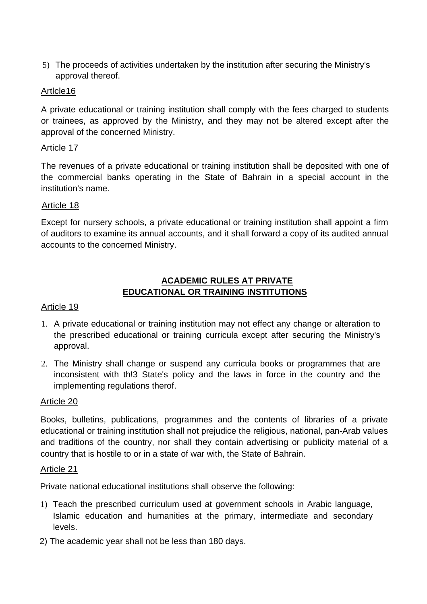5) The proceeds of activities undertaken by the institution after securing the Ministry's approval thereof.

### Artlcle16

A private educational or training institution shall comply with the fees charged to students or trainees, as approved by the Ministry, and they may not be altered except after the approval of the concerned Ministry.

#### Article 17

The revenues of a private educational or training institution shall be deposited with one of the commercial banks operating in the State of Bahrain in a special account in the institution's name.

#### Article 18

Except for nursery schools, a private educational or training institution shall appoint a firm of auditors to examine its annual accounts, and it shall forward a copy of its audited annual accounts to the concerned Ministry.

### **ACADEMIC RULES AT PRIVATE EDUCATIONAL OR TRAINING INSTITUTIONS**

#### Article 19

- 1. A private educational or training institution may not effect any change or alteration to the prescribed educational or training curricula except after securing the Ministry's approval.
- 2. The Ministry shall change or suspend any curricula books or programmes that are inconsistent with th!3 State's policy and the laws in force in the country and the implementing regulations therof.

#### Article 20

Books, bulletins, publications, programmes and the contents of libraries of a private educational or training institution shall not prejudice the religious, national, pan-Arab values and traditions of the country, nor shall they contain advertising or publicity material of a country that is hostile to or in a state of war with, the State of Bahrain.

#### Article 21

Private national educational institutions shall observe the following:

- 1) Teach the prescribed curriculum used at government schools in Arabic language, Islamic education and humanities at the primary, intermediate and secondary levels.
- 2) The academic year shall not be less than 180 days.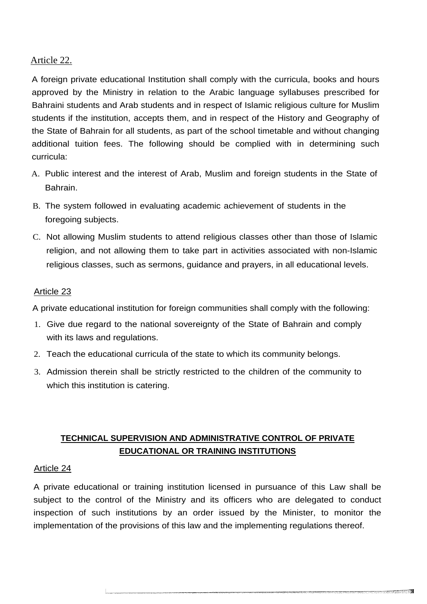#### Article 22.

A foreign private educational Institution shall comply with the curricula, books and hours approved by the Ministry in relation to the Arabic language syllabuses prescribed for Bahraini students and Arab students and in respect of Islamic religious culture for Muslim students if the institution, accepts them, and in respect of the History and Geography of the State of Bahrain for all students, as part of the school timetable and without changing additional tuition fees. The following should be complied with in determining such curricula:

- A. Public interest and the interest of Arab, Muslim and foreign students in the State of Bahrain.
- B. The system followed in evaluating academic achievement of students in the foregoing subjects.
- C. Not allowing Muslim students to attend religious classes other than those of Islamic religion, and not allowing them to take part in activities associated with non-Islamic religious classes, such as sermons, guidance and prayers, in all educational levels.

#### Article 23

A private educational institution for foreign communities shall comply with the following:

- 1. Give due regard to the national sovereignty of the State of Bahrain and comply with its laws and regulations.
- 2. Teach the educational curricula of the state to which its community belongs.
- 3. Admission therein shall be strictly restricted to the children of the community to which this institution is catering.

### **TECHNICAL SUPERVISION AND ADMINISTRATIVE CONTROL OF PRIVATE EDUCATIONAL OR TRAINING INSTITUTIONS**

#### Article 24

A private educational or training institution licensed in pursuance of this Law shall be subject to the control of the Ministry and its officers who are delegated to conduct inspection of such institutions by an order issued by the Minister, to monitor the implementation of the provisions of this law and the implementing regulations thereof.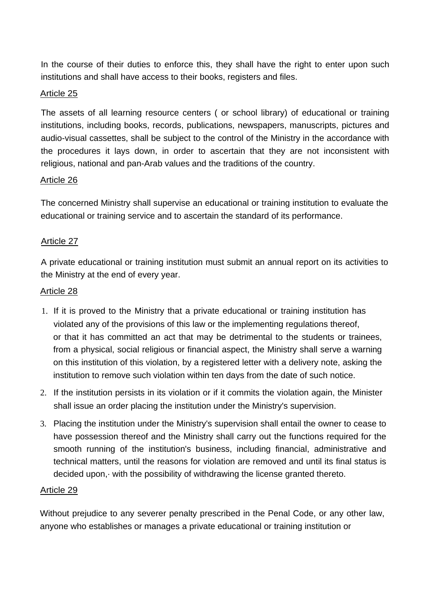In the course of their duties to enforce this, they shall have the right to enter upon such institutions and shall have access to their books, registers and files.

#### Article 25

The assets of all learning resource centers ( or school library) of educational or training institutions, including books, records, publications, newspapers, manuscripts, pictures and audio-visual cassettes, shall be subject to the control of the Ministry in the accordance with the procedures it lays down, in order to ascertain that they are not inconsistent with religious, national and pan-Arab values and the traditions of the country.

#### Article 26

The concerned Ministry shall supervise an educational or training institution to evaluate the educational or training service and to ascertain the standard of its performance.

#### Article 27

A private educational or training institution must submit an annual report on its activities to the Ministry at the end of every year.

#### Article 28

- 1. If it is proved to the Ministry that a private educational or training institution has violated any of the provisions of this law or the implementing regulations thereof, or that it has committed an act that may be detrimental to the students or trainees, from a physical, social religious or financial aspect, the Ministry shall serve a warning on this institution of this violation, by a registered letter with a delivery note, asking the institution to remove such violation within ten days from the date of such notice.
- 2. If the institution persists in its violation or if it commits the violation again, the Minister shall issue an order placing the institution under the Ministry's supervision.
- 3. Placing the institution under the Ministry's supervision shall entail the owner to cease to have possession thereof and the Ministry shall carry out the functions required for the smooth running of the institution's business, including financial, administrative and technical matters, until the reasons for violation are removed and until its final status is decided upon,· with the possibility of withdrawing the license granted thereto.

#### Article 29

Without prejudice to any severer penalty prescribed in the Penal Code, or any other law, anyone who establishes or manages a private educational or training institution or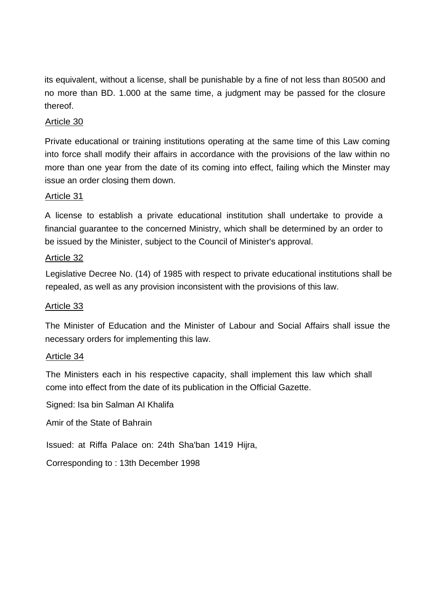its equivalent, without a license, shall be punishable by a fine of not less than 80500 and no more than BD. 1.000 at the same time, a judgment may be passed for the closure thereof.

#### Article 30

Private educational or training institutions operating at the same time of this Law coming into force shall modify their affairs in accordance with the provisions of the law within no more than one year from the date of its coming into effect, failing which the Minster may issue an order closing them down.

#### Article 31

A license to establish a private educational institution shall undertake to provide a financial guarantee to the concerned Ministry, which shall be determined by an order to be issued by the Minister, subject to the Council of Minister's approval.

#### Article 32

Legislative Decree No. (14) of 1985 with respect to private educational institutions shall be repealed, as well as any provision inconsistent with the provisions of this law.

#### Article 33

The Minister of Education and the Minister of Labour and Social Affairs shall issue the necessary orders for implementing this law.

#### Article 34

The Ministers each in his respective capacity, shall implement this law which shall come into effect from the date of its publication in the Official Gazette.

Signed: Isa bin Salman AI Khalifa

Amir of the State of Bahrain

Issued: at Riffa Palace on: 24th Sha'ban 1419 Hijra,

Corresponding to : 13th December 1998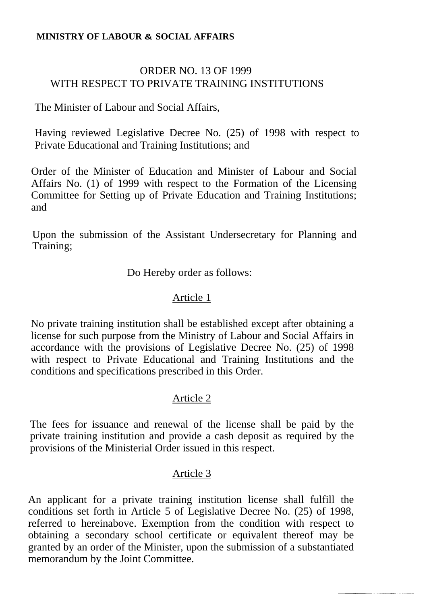### **MINISTRY OF LABOUR & SOCIAL AFFAIRS**

## ORDER NO. 13 OF 1999 WITH RESPECT TO PRIVATE TRAINING INSTITUTIONS

The Minister of Labour and Social Affairs,

Having reviewed Legislative Decree No. (25) of 1998 with respect to Private Educational and Training Institutions; and

Order of the Minister of Education and Minister of Labour and Social Affairs No. (1) of 1999 with respect to the Formation of the Licensing Committee for Setting up of Private Education and Training Institutions; and

Upon the submission of the Assistant Undersecretary for Planning and Training;

Do Hereby order as follows:

### Article 1

No private training institution shall be established except after obtaining a license for such purpose from the Ministry of Labour and Social Affairs in accordance with the provisions of Legislative Decree No. (25) of 1998 with respect to Private Educational and Training Institutions and the conditions and specifications prescribed in this Order.

### Article 2

The fees for issuance and renewal of the license shall be paid by the private training institution and provide a cash deposit as required by the provisions of the Ministerial Order issued in this respect.

### Article 3

An applicant for a private training institution license shall fulfill the conditions set forth in Article 5 of Legislative Decree No. (25) of 1998, referred to hereinabove. Exemption from the condition with respect to obtaining a secondary school certificate or equivalent thereof may be granted by an order of the Minister, upon the submission of a substantiated memorandum by the Joint Committee.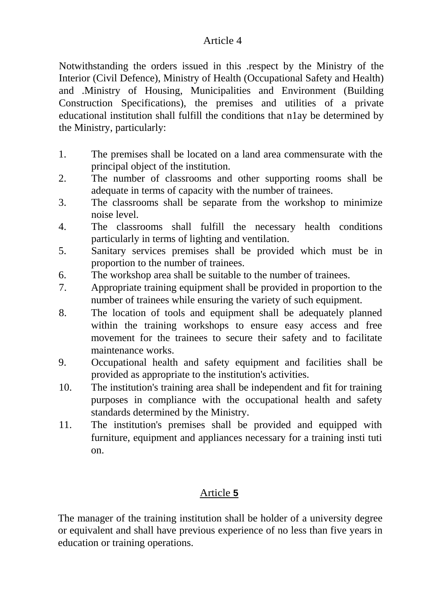Notwithstanding the orders issued in this .respect by the Ministry of the Interior (Civil Defence), Ministry of Health (Occupational Safety and Health) and .Ministry of Housing, Municipalities and Environment (Building Construction Specifications), the premises and utilities of a private educational institution shall fulfill the conditions that n1ay be determined by the Ministry, particularly:

- 1. The premises shall be located on a land area commensurate with the principal object of the institution.
- 2. The number of classrooms and other supporting rooms shall be adequate in terms of capacity with the number of trainees.
- 3. The classrooms shall be separate from the workshop to minimize noise level.
- 4. The classrooms shall fulfill the necessary health conditions particularly in terms of lighting and ventilation.
- 5. Sanitary services premises shall be provided which must be in proportion to the number of trainees.
- 6. The workshop area shall be suitable to the number of trainees.
- 7. Appropriate training equipment shall be provided in proportion to the number of trainees while ensuring the variety of such equipment.
- 8. The location of tools and equipment shall be adequately planned within the training workshops to ensure easy access and free movement for the trainees to secure their safety and to facilitate maintenance works.
- 9. Occupational health and safety equipment and facilities shall be provided as appropriate to the institution's activities.
- 10. The institution's training area shall be independent and fit for training purposes in compliance with the occupational health and safety standards determined by the Ministry.
- 11. The institution's premises shall be provided and equipped with furniture, equipment and appliances necessary for a training insti tuti on.

## Article **5**

The manager of the training institution shall be holder of a university degree or equivalent and shall have previous experience of no less than five years in education or training operations.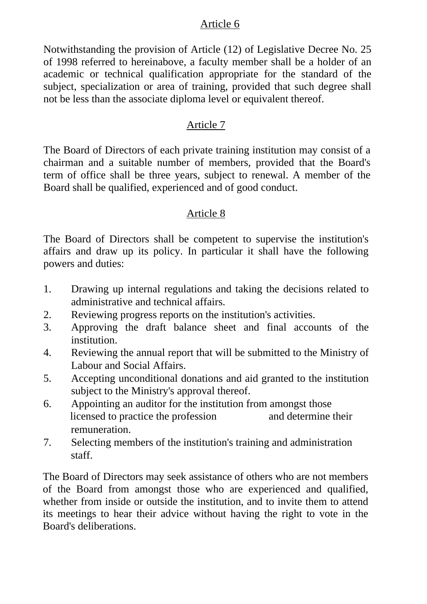Notwithstanding the provision of Article (12) of Legislative Decree No. 25 of 1998 referred to hereinabove, a faculty member shall be a holder of an academic or technical qualification appropriate for the standard of the subject, specialization or area of training, provided that such degree shall not be less than the associate diploma level or equivalent thereof.

### Article 7

The Board of Directors of each private training institution may consist of a chairman and a suitable number of members, provided that the Board's term of office shall be three years, subject to renewal. A member of the Board shall be qualified, experienced and of good conduct.

### Article 8

The Board of Directors shall be competent to supervise the institution's affairs and draw up its policy. In particular it shall have the following powers and duties:

- 1. Drawing up internal regulations and taking the decisions related to administrative and technical affairs.
- 2. Reviewing progress reports on the institution's activities.
- 3. Approving the draft balance sheet and final accounts of the institution.
- 4. Reviewing the annual report that will be submitted to the Ministry of Labour and Social Affairs.
- 5. Accepting unconditional donations and aid granted to the institution subject to the Ministry's approval thereof.
- 6. Appointing an auditor for the institution from amongst those licensed to practice the profession and determine their remuneration.
- 7. Selecting members of the institution's training and administration staff.

The Board of Directors may seek assistance of others who are not members of the Board from amongst those who are experienced and qualified, whether from inside or outside the institution, and to invite them to attend its meetings to hear their advice without having the right to vote in the Board's deliberations.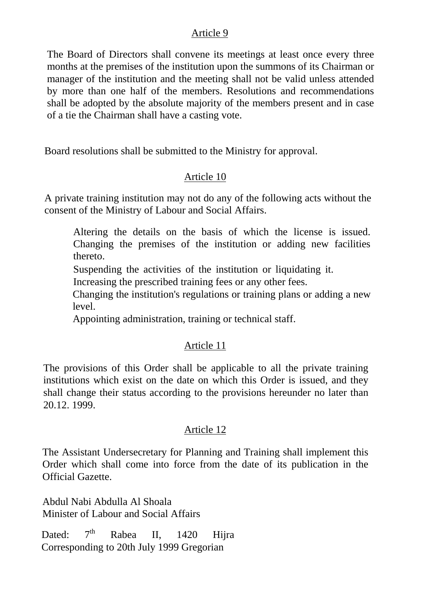The Board of Directors shall convene its meetings at least once every three months at the premises of the institution upon the summons of its Chairman or manager of the institution and the meeting shall not be valid unless attended by more than one half of the members. Resolutions and recommendations shall be adopted by the absolute majority of the members present and in case of a tie the Chairman shall have a casting vote.

Board resolutions shall be submitted to the Ministry for approval.

### Article 10

A private training institution may not do any of the following acts without the consent of the Ministry of Labour and Social Affairs.

Altering the details on the basis of which the license is issued. Changing the premises of the institution or adding new facilities thereto.

Suspending the activities of the institution or liquidating it.

Increasing the prescribed training fees or any other fees.

Changing the institution's regulations or training plans or adding a new level.

Appointing administration, training or technical staff.

### Article 11

The provisions of this Order shall be applicable to all the private training institutions which exist on the date on which this Order is issued, and they shall change their status according to the provisions hereunder no later than 20.12. 1999.

### Article 12

The Assistant Undersecretary for Planning and Training shall implement this Order which shall come into force from the date of its publication in the Official Gazette.

Abdul Nabi Abdulla Al Shoala Minister of Labour and Social Affairs

Dated:  $7<sup>th</sup>$  Rabea II, 1420 Hijra Corresponding to 20th July 1999 Gregorian